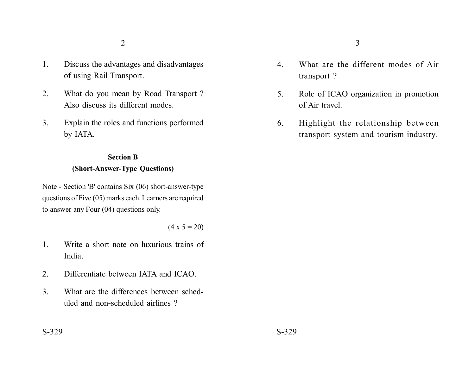- 1. Discuss the advantages and disadvantages of using Rail Transport.
- 2. What do you mean by Road Transport ? Also discuss its different modes.
- 3. Explain the roles and functions performed by IATA.

## **Section B (Short-Answer-Type Questions)**

Note - Section 'B' contains Six (06) short-answer-type questions of Five (05) marks each. Learners are required to answer any Four (04) questions only.

 $(4 \times 5 = 20)$ 

- 1. Write a short note on luxurious trains of India.
- 2. Differentiate between IATA and ICAO.
- 3. What are the differences between scheduled and non-scheduled airlines ?
- 4. What are the different modes of Air transport ?
- 5. Role of ICAO organization in promotion of Air travel.
- 6. Highlight the relationship between transport system and tourism industry.

 $S-329$   $S-329$